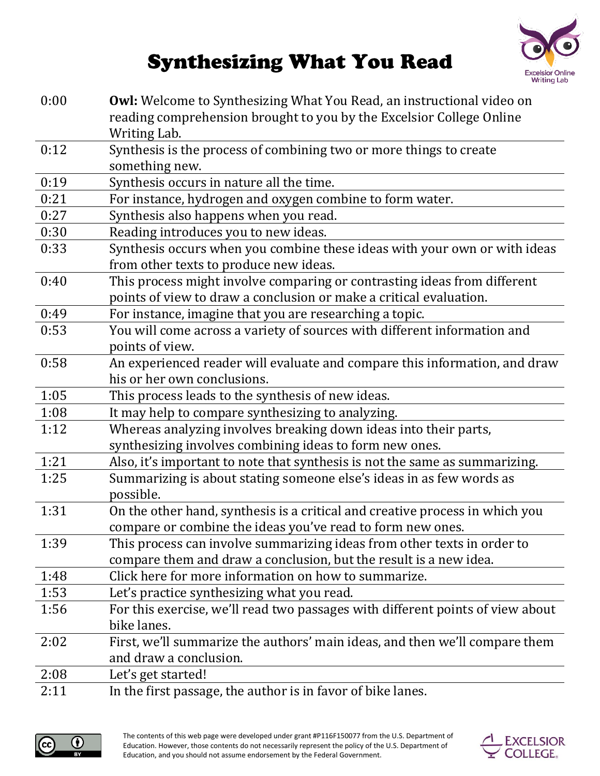

## **Synthesizing What You Read**

| 0:00 | <b>Owl:</b> Welcome to Synthesizing What You Read, an instructional video on         |
|------|--------------------------------------------------------------------------------------|
|      | reading comprehension brought to you by the Excelsior College Online<br>Writing Lab. |
| 0:12 | Synthesis is the process of combining two or more things to create                   |
|      | something new.                                                                       |
| 0:19 | Synthesis occurs in nature all the time.                                             |
| 0:21 | For instance, hydrogen and oxygen combine to form water.                             |
| 0:27 | Synthesis also happens when you read.                                                |
| 0:30 | Reading introduces you to new ideas.                                                 |
| 0:33 | Synthesis occurs when you combine these ideas with your own or with ideas            |
|      | from other texts to produce new ideas.                                               |
| 0:40 | This process might involve comparing or contrasting ideas from different             |
|      | points of view to draw a conclusion or make a critical evaluation.                   |
| 0:49 | For instance, imagine that you are researching a topic.                              |
| 0:53 | You will come across a variety of sources with different information and             |
|      | points of view.                                                                      |
| 0:58 | An experienced reader will evaluate and compare this information, and draw           |
|      | his or her own conclusions.                                                          |
| 1:05 | This process leads to the synthesis of new ideas.                                    |
| 1:08 | It may help to compare synthesizing to analyzing.                                    |
| 1:12 | Whereas analyzing involves breaking down ideas into their parts,                     |
|      | synthesizing involves combining ideas to form new ones.                              |
| 1:21 | Also, it's important to note that synthesis is not the same as summarizing.          |
| 1:25 | Summarizing is about stating someone else's ideas in as few words as                 |
|      | possible.                                                                            |
| 1:31 | On the other hand, synthesis is a critical and creative process in which you         |
|      | compare or combine the ideas you've read to form new ones.                           |
| 1:39 | This process can involve summarizing ideas from other texts in order to              |
|      | compare them and draw a conclusion, but the result is a new idea.                    |
| 1:48 | Click here for more information on how to summarize.                                 |
| 1:53 | Let's practice synthesizing what you read.                                           |
| 1:56 | For this exercise, we'll read two passages with different points of view about       |
|      | bike lanes.                                                                          |
| 2:02 | First, we'll summarize the authors' main ideas, and then we'll compare them          |
|      | and draw a conclusion.                                                               |
| 2:08 | Let's get started!                                                                   |
| 2:11 | In the first passage, the author is in favor of bike lanes.                          |



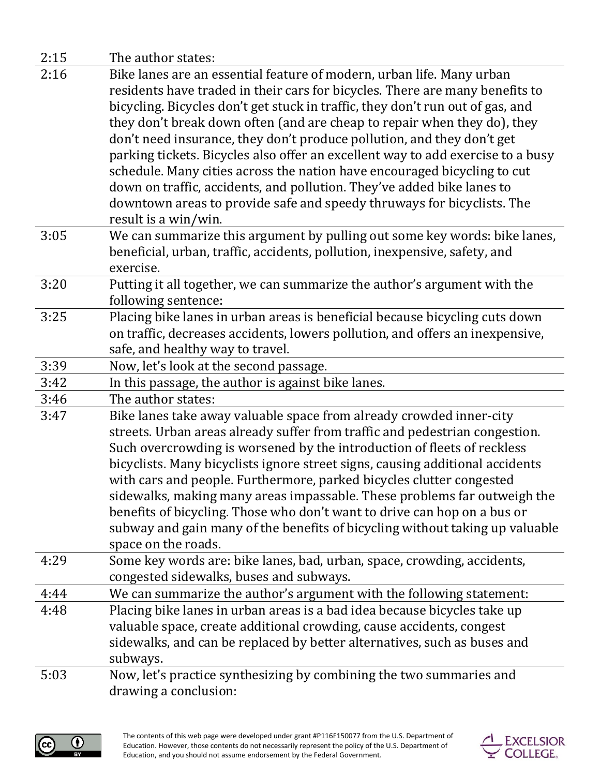| 2:15 | The author states:                                                                                                                               |
|------|--------------------------------------------------------------------------------------------------------------------------------------------------|
| 2:16 | Bike lanes are an essential feature of modern, urban life. Many urban                                                                            |
|      | residents have traded in their cars for bicycles. There are many benefits to                                                                     |
|      | bicycling. Bicycles don't get stuck in traffic, they don't run out of gas, and                                                                   |
|      | they don't break down often (and are cheap to repair when they do), they                                                                         |
|      | don't need insurance, they don't produce pollution, and they don't get                                                                           |
|      | parking tickets. Bicycles also offer an excellent way to add exercise to a busy                                                                  |
|      | schedule. Many cities across the nation have encouraged bicycling to cut                                                                         |
|      | down on traffic, accidents, and pollution. They've added bike lanes to                                                                           |
|      | downtown areas to provide safe and speedy thruways for bicyclists. The                                                                           |
|      | result is a win/win.                                                                                                                             |
| 3:05 | We can summarize this argument by pulling out some key words: bike lanes,                                                                        |
|      | beneficial, urban, traffic, accidents, pollution, inexpensive, safety, and                                                                       |
|      | exercise.                                                                                                                                        |
| 3:20 | Putting it all together, we can summarize the author's argument with the<br>following sentence:                                                  |
| 3:25 | Placing bike lanes in urban areas is beneficial because bicycling cuts down                                                                      |
|      | on traffic, decreases accidents, lowers pollution, and offers an inexpensive,                                                                    |
|      | safe, and healthy way to travel.                                                                                                                 |
| 3:39 | Now, let's look at the second passage.                                                                                                           |
| 3:42 | In this passage, the author is against bike lanes.                                                                                               |
| 3:46 | The author states:                                                                                                                               |
| 3:47 | Bike lanes take away valuable space from already crowded inner-city                                                                              |
|      | streets. Urban areas already suffer from traffic and pedestrian congestion.                                                                      |
|      | Such overcrowding is worsened by the introduction of fleets of reckless                                                                          |
|      | bicyclists. Many bicyclists ignore street signs, causing additional accidents                                                                    |
|      | with cars and people. Furthermore, parked bicycles clutter congested                                                                             |
|      | sidewalks, making many areas impassable. These problems far outweigh the                                                                         |
|      | benefits of bicycling. Those who don't want to drive can hop on a bus or                                                                         |
|      | subway and gain many of the benefits of bicycling without taking up valuable                                                                     |
|      | space on the roads.                                                                                                                              |
| 4:29 | Some key words are: bike lanes, bad, urban, space, crowding, accidents,                                                                          |
| 4:44 | congested sidewalks, buses and subways.                                                                                                          |
| 4:48 | We can summarize the author's argument with the following statement:<br>Placing bike lanes in urban areas is a bad idea because bicycles take up |
|      | valuable space, create additional crowding, cause accidents, congest                                                                             |
|      | sidewalks, and can be replaced by better alternatives, such as buses and                                                                         |
|      | subways.                                                                                                                                         |
| 5:03 | Now, let's practice synthesizing by combining the two summaries and                                                                              |
|      | drawing a conclusion:                                                                                                                            |